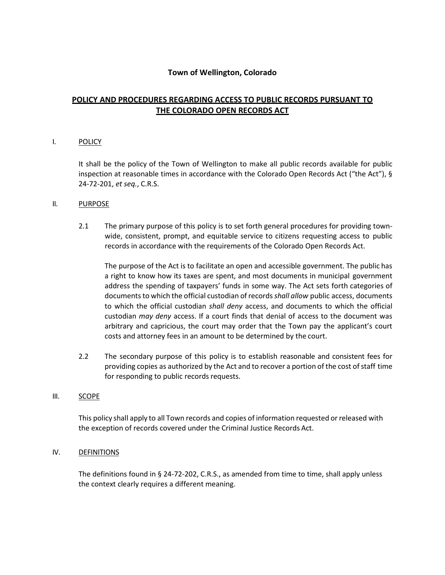# **Town of Wellington, Colorado**

# **POLICY AND PROCEDURES REGARDING ACCESS TO PUBLIC RECORDS PURSUANT TO THE COLORADO OPEN RECORDS ACT**

#### I. POLICY

It shall be the policy of the Town of Wellington to make all public records available for public inspection at reasonable times in accordance with the Colorado Open Records Act ("the Act"), § 24-72-201, *et seq.*, C.R.S.

#### II. PURPOSE

2.1 The primary purpose of this policy is to set forth general procedures for providing townwide, consistent, prompt, and equitable service to citizens requesting access to public records in accordance with the requirements of the Colorado Open Records Act.

The purpose of the Act is to facilitate an open and accessible government. The public has a right to know how its taxes are spent, and most documents in municipal government address the spending of taxpayers' funds in some way. The Act sets forth categories of documents to which the official custodian of records *shall allow* public access, documents to which the official custodian *shall deny* access, and documents to which the official custodian *may deny* access. If a court finds that denial of access to the document was arbitrary and capricious, the court may order that the Town pay the applicant's court costs and attorney fees in an amount to be determined by the court.

2.2 The secondary purpose of this policy is to establish reasonable and consistent fees for providing copies as authorized by the Act and to recover a portion of the cost ofstaff time for responding to public records requests.

#### III. SCOPE

This policy shall apply to all Town records and copies of information requested orreleased with the exception of records covered under the Criminal Justice Records Act.

#### IV. DEFINITIONS

The definitions found in § 24-72-202, C.R.S., as amended from time to time, shall apply unless the context clearly requires a different meaning.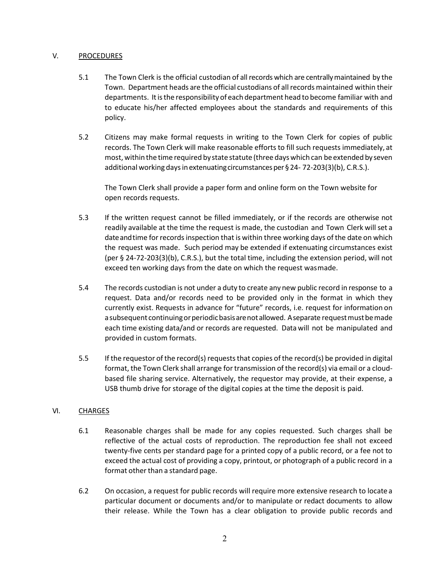# V. PROCEDURES

- 5.1 The Town Clerk is the official custodian of allrecords which are centrallymaintained by the Town. Department heads are the official custodians of allrecords maintained within their departments. Itisthe responsibility of each department head to become familiar with and to educate his/her affected employees about the standards and requirements of this policy.
- 5.2 Citizens may make formal requests in writing to the Town Clerk for copies of public records. The Town Clerk will make reasonable efforts to fill such requests immediately, at most, within the time required by state statute (three days which can be extended by seven additional working days in extenuating circumstances per § 24-72-203(3)(b), C.R.S.).

The Town Clerk shall provide a paper form and online form on the Town website for open records requests.

- 5.3 If the written request cannot be filled immediately, or if the records are otherwise not readily available at the time the request is made, the custodian and Town Clerk will set a dateandtime for records inspection that is within three working days of the date on which the request was made. Such period may be extended if extenuating circumstances exist (per § 24-72-203(3)(b), C.R.S.), but the total time, including the extension period, will not exceed ten working days from the date on which the request wasmade.
- 5.4 The records custodian is not under a duty to create any new public record in response to a request. Data and/or records need to be provided only in the format in which they currently exist. Requests in advance for "future" records, i.e. request for information on a subsequent continuing or periodic basis are not allowed. A separate request must be made each time existing data/and or records are requested. Data will not be manipulated and provided in custom formats.
- 5.5 If the requestor of the record(s) requests that copies of the record(s) be provided in digital format, the Town Clerk shall arrange for transmission of the record(s) via email or a cloudbased file sharing service. Alternatively, the requestor may provide, at their expense, a USB thumb drive for storage of the digital copies at the time the deposit is paid.

# VI. CHARGES

- 6.1 Reasonable charges shall be made for any copies requested. Such charges shall be reflective of the actual costs of reproduction. The reproduction fee shall not exceed twenty-five cents per standard page for a printed copy of a public record, or a fee not to exceed the actual cost of providing a copy, printout, or photograph of a public record in a format other than a standard page.
- 6.2 On occasion, a request for public records will require more extensive research to locate a particular document or documents and/or to manipulate or redact documents to allow their release. While the Town has a clear obligation to provide public records and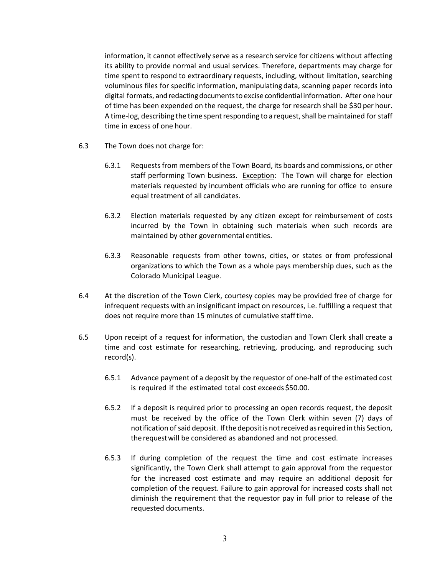information, it cannot effectively serve as a research service for citizens without affecting its ability to provide normal and usual services. Therefore, departments may charge for time spent to respond to extraordinary requests, including, without limitation, searching voluminous files for specific information, manipulating data, scanning paper records into digital formats, and redacting documents to excise confidential information. After one hour of time has been expended on the request, the charge for research shall be \$30 per hour. A time-log, describing the time spent responding to a request, shall be maintained for staff time in excess of one hour.

- 6.3 The Town does not charge for:
	- 6.3.1 Requestsfrom members ofthe Town Board, its boards and commissions, or other staff performing Town business. Exception: The Town will charge for election materials requested by incumbent officials who are running for office to ensure equal treatment of all candidates.
	- 6.3.2 Election materials requested by any citizen except for reimbursement of costs incurred by the Town in obtaining such materials when such records are maintained by other governmental entities.
	- 6.3.3 Reasonable requests from other towns, cities, or states or from professional organizations to which the Town as a whole pays membership dues, such as the Colorado Municipal League.
- 6.4 At the discretion of the Town Clerk, courtesy copies may be provided free of charge for infrequent requests with an insignificant impact on resources, i.e. fulfilling a request that does not require more than 15 minutes of cumulative stafftime.
- 6.5 Upon receipt of a request for information, the custodian and Town Clerk shall create a time and cost estimate for researching, retrieving, producing, and reproducing such record(s).
	- 6.5.1 Advance payment of a deposit by the requestor of one-half of the estimated cost is required if the estimated total cost exceeds \$50.00.
	- 6.5.2 If a deposit is required prior to processing an open records request, the deposit must be received by the office of the Town Clerk within seven (7) days of notification of saiddeposit. Ifthedepositisnotreceivedasrequiredinthis Section, the requestwill be considered as abandoned and not processed.
	- 6.5.3 If during completion of the request the time and cost estimate increases significantly, the Town Clerk shall attempt to gain approval from the requestor for the increased cost estimate and may require an additional deposit for completion of the request. Failure to gain approval for increased costs shall not diminish the requirement that the requestor pay in full prior to release of the requested documents.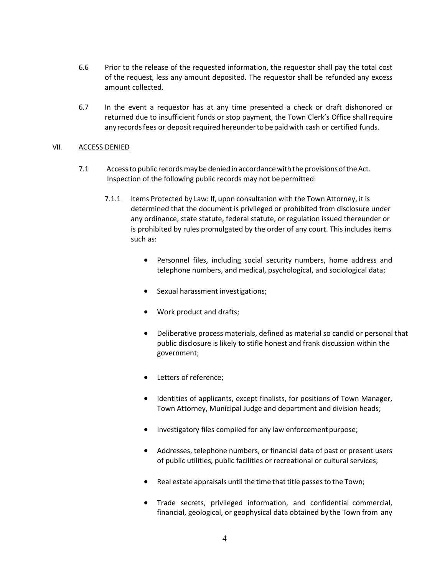- 6.6 Prior to the release of the requested information, the requestor shall pay the total cost of the request, less any amount deposited. The requestor shall be refunded any excess amount collected.
- 6.7 In the event a requestor has at any time presented a check or draft dishonored or returned due to insufficient funds or stop payment, the Town Clerk's Office shallrequire any records fees or deposit required hereunder to be paid with cash or certified funds.

#### VII. ACCESS DENIED

- 7.1 Accessto public recordsmaybe denied in accordancewith the provisionsoftheAct. Inspection of the following public records may not be permitted:
	- 7.1.1 Items Protected by Law: If, upon consultation with the Town Attorney, it is determined that the document is privileged or prohibited from disclosure under any ordinance, state statute, federal statute, or regulation issued thereunder or is prohibited by rules promulgated by the order of any court. This includes items such as:
		- Personnel files, including social security numbers, home address and telephone numbers, and medical, psychological, and sociological data;
		- Sexual harassment investigations;
		- Work product and drafts;
		- Deliberative process materials, defined as material so candid or personal that public disclosure is likely to stifle honest and frank discussion within the government;
		- Letters of reference;
		- Identities of applicants, except finalists, for positions of Town Manager, Town Attorney, Municipal Judge and department and division heads;
		- Investigatory files compiled for any law enforcement purpose;
		- Addresses, telephone numbers, or financial data of past or present users of public utilities, public facilities or recreational or cultural services;
		- $\bullet$  Real estate appraisals until the time that title passes to the Town;
		- Trade secrets, privileged information, and confidential commercial, financial, geological, or geophysical data obtained by the Town from any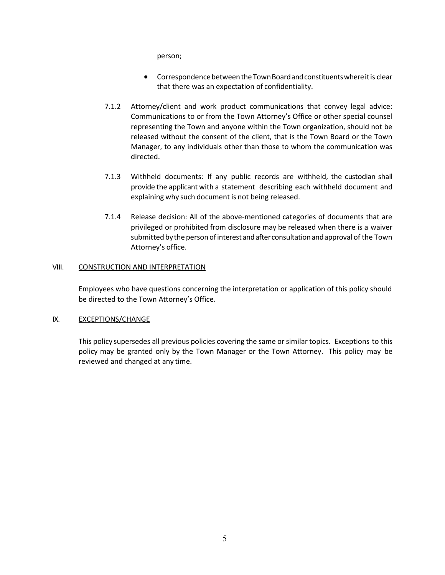person;

- Correspondence between the Town Board and constituents where it is clear that there was an expectation of confidentiality.
- 7.1.2 Attorney/client and work product communications that convey legal advice: Communications to or from the Town Attorney's Office or other special counsel representing the Town and anyone within the Town organization, should not be released without the consent of the client, that is the Town Board or the Town Manager, to any individuals other than those to whom the communication was directed.
- 7.1.3 Withheld documents: If any public records are withheld, the custodian shall provide the applicant with a statement describing each withheld document and explaining why such document is not being released.
- 7.1.4 Release decision: All of the above-mentioned categories of documents that are privileged or prohibited from disclosure may be released when there is a waiver submitted bythe personofinterestandafterconsultationandapproval of the Town Attorney's office.

# VIII. CONSTRUCTION AND INTERPRETATION

Employees who have questions concerning the interpretation or application of this policy should be directed to the Town Attorney's Office.

# IX. **EXCEPTIONS/CHANGE**

This policy supersedes all previous policies covering the same orsimilar topics. Exceptions to this policy may be granted only by the Town Manager or the Town Attorney. This policy may be reviewed and changed at any time.